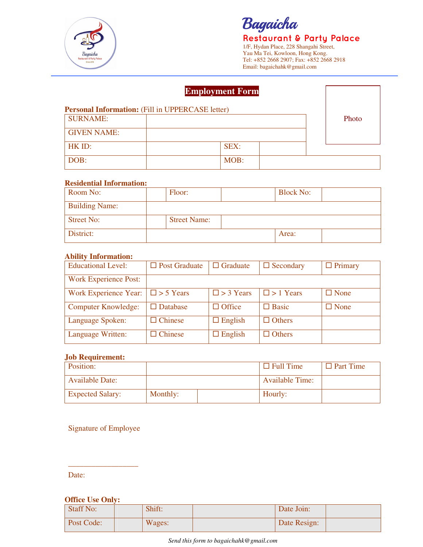

# Bagaicha

**Restaurant & Party Palace** 1/F, Hydan Place, 228 Shangahi Street, Yau Ma Tei, Kowloon, Hong Kong. Tel: +852 2668 2907; Fax: +852 2668 2918 Email: bagaichahk@gmail.com

|                                                         | <b>Employment Form</b> |       |
|---------------------------------------------------------|------------------------|-------|
| <b>Personal Information:</b> (Fill in UPPERCASE letter) |                        |       |
| <b>SURNAME:</b>                                         |                        | Photo |
| <b>GIVEN NAME:</b>                                      |                        |       |
| HK ID:                                                  | SEX:                   |       |
| DOB:                                                    | MOB:                   |       |

#### **Residential Information:**

| Room No:              | Floor:              | <b>Block No:</b> |  |
|-----------------------|---------------------|------------------|--|
| <b>Building Name:</b> |                     |                  |  |
| <b>Street No:</b>     | <b>Street Name:</b> |                  |  |
| District:             |                     | Area:            |  |

#### **Ability Information:**

| <b>Educational Level:</b>              | $\Box$ Post Graduate | $\Box$ Graduate  | $\Box$ Secondary | $\Box$ Primary |
|----------------------------------------|----------------------|------------------|------------------|----------------|
| <b>Work Experience Post:</b>           |                      |                  |                  |                |
| Work Experience Year: $\Box$ > 5 Years |                      | $\Box$ > 3 Years | $\Box$ > 1 Years | $\Box$ None    |
| <b>Computer Knowledge:</b>             | $\Box$ Database      | $\Box$ Office    | $\Box$ Basic     | $\Box$ None    |
| Language Spoken:                       | $\Box$ Chinese       | $\Box$ English   | $\Box$ Others    |                |
| Language Written:                      | $\Box$ Chinese       | $\Box$ English   | $\Box$ Others    |                |

#### **Job Requirement:**

| Position:               |          | $\Box$ Full Time       | $\Box$ Part Time |
|-------------------------|----------|------------------------|------------------|
| <b>Available Date:</b>  |          | <b>Available Time:</b> |                  |
| <b>Expected Salary:</b> | Monthly: | Hourly:                |                  |

### Signature of Employee

\_\_\_\_\_\_\_\_\_\_\_\_\_\_\_\_\_\_

Date:

#### **Office Use Only:**

| Staff No:  | Shift: | Date Join:   |  |
|------------|--------|--------------|--|
| Post Code: | Wages: | Date Resign: |  |

*Send this form to bagaichahk@gmail.com*